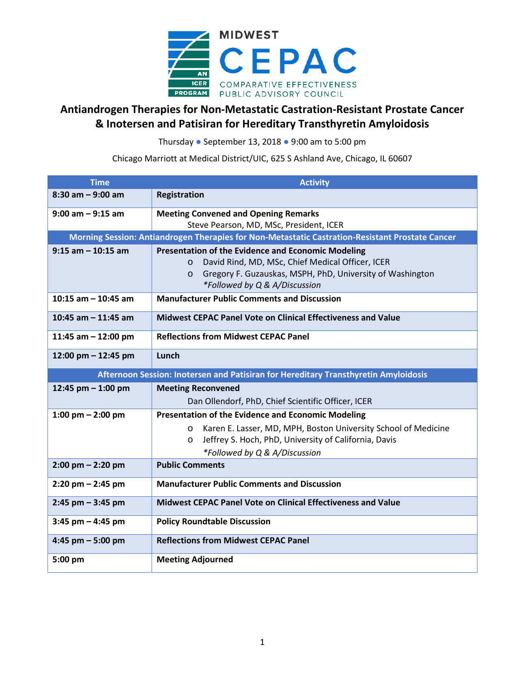

## **Antiandrogen Therapies for Non-Metastatic Castration-Resistant Prostate Cancer & Inotersen and Patisiran for Hereditary Transthyretin Amyloidosis**

Thursday ● September 13, 2018 ● 9:00 am to 5:00 pm

Chicago Marriott at Medical District/UIC, 625 S Ashland Ave, Chicago, IL 60607

| <b>Time</b>                                                                                     | <b>Activity</b>                                                            |  |
|-------------------------------------------------------------------------------------------------|----------------------------------------------------------------------------|--|
| $8:30$ am $-9:00$ am                                                                            | Registration                                                               |  |
| $9:00$ am $-9:15$ am                                                                            | <b>Meeting Convened and Opening Remarks</b>                                |  |
|                                                                                                 | Steve Pearson, MD, MSc, President, ICER                                    |  |
| Morning Session: Antiandrogen Therapies for Non-Metastatic Castration-Resistant Prostate Cancer |                                                                            |  |
| $9:15$ am $-10:15$ am                                                                           | Presentation of the Evidence and Economic Modeling                         |  |
|                                                                                                 | David Rind, MD, MSc, Chief Medical Officer, ICER<br>$\circ$                |  |
|                                                                                                 | Gregory F. Guzauskas, MSPH, PhD, University of Washington<br>$\circ$       |  |
|                                                                                                 | *Followed by Q & A/Discussion                                              |  |
| 10:15 am $-$ 10:45 am                                                                           | <b>Manufacturer Public Comments and Discussion</b>                         |  |
| 10:45 am $-$ 11:45 am                                                                           | <b>Midwest CEPAC Panel Vote on Clinical Effectiveness and Value</b>        |  |
| 11:45 am $-$ 12:00 pm                                                                           | <b>Reflections from Midwest CEPAC Panel</b>                                |  |
| 12:00 pm - 12:45 pm                                                                             | Lunch                                                                      |  |
| Afternoon Session: Inotersen and Patisiran for Hereditary Transthyretin Amyloidosis             |                                                                            |  |
| 12:45 pm $-$ 1:00 pm                                                                            | <b>Meeting Reconvened</b>                                                  |  |
|                                                                                                 | Dan Ollendorf, PhD, Chief Scientific Officer, ICER                         |  |
| 1:00 pm $-$ 2:00 pm                                                                             | Presentation of the Evidence and Economic Modeling                         |  |
|                                                                                                 | Karen E. Lasser, MD, MPH, Boston University School of Medicine<br>$\Omega$ |  |
|                                                                                                 | Jeffrey S. Hoch, PhD, University of California, Davis<br>$\circ$           |  |
|                                                                                                 | *Followed by Q & A/Discussion                                              |  |
| $2:00$ pm $- 2:20$ pm                                                                           | <b>Public Comments</b>                                                     |  |
| $2:20$ pm $- 2:45$ pm                                                                           | <b>Manufacturer Public Comments and Discussion</b>                         |  |
| $2:45$ pm $-3:45$ pm                                                                            | <b>Midwest CEPAC Panel Vote on Clinical Effectiveness and Value</b>        |  |
| $3:45$ pm $- 4:45$ pm                                                                           | <b>Policy Roundtable Discussion</b>                                        |  |
| 4:45 pm $-5:00$ pm                                                                              | <b>Reflections from Midwest CEPAC Panel</b>                                |  |
| 5:00 pm                                                                                         | <b>Meeting Adjourned</b>                                                   |  |